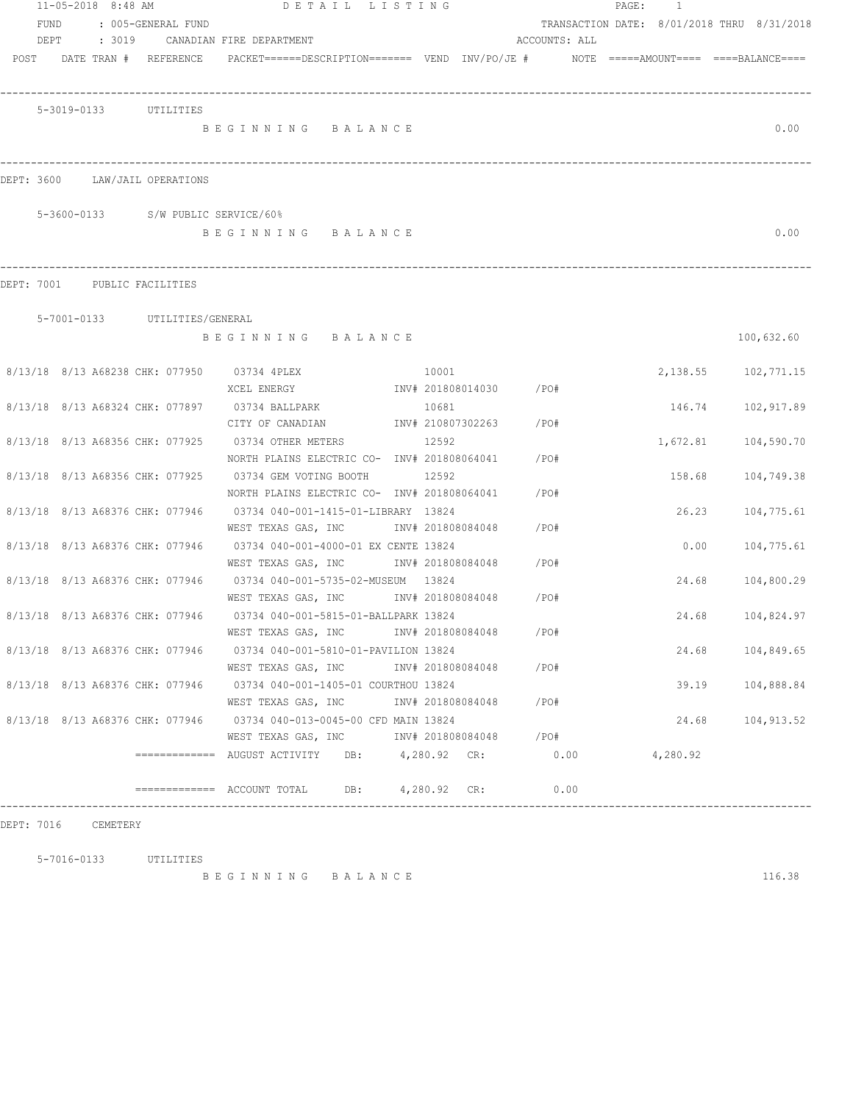| 11-05-2018 8:48 AM |        |                                    | DETAIL LISTING                                                                           |       |                        |      |      | PAGE: | 1        |                                            |
|--------------------|--------|------------------------------------|------------------------------------------------------------------------------------------|-------|------------------------|------|------|-------|----------|--------------------------------------------|
| <b>FUND</b>        |        | : 005-GENERAL FUND                 |                                                                                          |       |                        |      |      |       |          | TRANSACTION DATE: 8/01/2018 THRU 8/31/2018 |
| DEPT               | : 3019 |                                    | CANADIAN FIRE DEPARTMENT                                                                 |       | ACCOUNTS: ALL          |      |      |       |          |                                            |
|                    |        | POST DATE TRAN # REFERENCE         | PACKET======DESCRIPTION======= VEND INV/PO/JE #     NOTE =====AMOUNT==== ====BALANCE==== |       |                        |      |      |       |          |                                            |
|                    |        |                                    |                                                                                          |       |                        |      |      |       |          |                                            |
|                    |        |                                    |                                                                                          |       |                        |      |      |       |          |                                            |
|                    |        | 5-3019-0133 UTILITIES              |                                                                                          |       |                        |      |      |       |          |                                            |
|                    |        |                                    | BEGINNING BALANCE                                                                        |       |                        |      |      |       |          | 0.00                                       |
|                    |        |                                    |                                                                                          |       |                        |      |      |       |          |                                            |
|                    |        |                                    |                                                                                          |       |                        |      |      |       |          |                                            |
|                    |        | DEPT: 3600 LAW/JAIL OPERATIONS     |                                                                                          |       |                        |      |      |       |          |                                            |
|                    |        | 5-3600-0133 S/W PUBLIC SERVICE/60% |                                                                                          |       |                        |      |      |       |          |                                            |
|                    |        |                                    | BEGINNING BALANCE                                                                        |       |                        |      |      |       |          | 0.00                                       |
|                    |        |                                    |                                                                                          |       |                        |      |      |       |          |                                            |
|                    |        |                                    |                                                                                          |       |                        |      |      |       |          |                                            |
|                    |        | DEPT: 7001 PUBLIC FACILITIES       |                                                                                          |       |                        |      |      |       |          |                                            |
|                    |        |                                    |                                                                                          |       |                        |      |      |       |          |                                            |
|                    |        | 5-7001-0133 UTILITIES/GENERAL      |                                                                                          |       |                        |      |      |       |          |                                            |
|                    |        |                                    | BEGINNING BALANCE                                                                        |       |                        |      |      |       |          | 100,632.60                                 |
|                    |        |                                    |                                                                                          |       |                        |      |      |       |          |                                            |
|                    |        |                                    | 8/13/18 8/13 A68238 CHK: 077950 03734 4PLEX                                              | 10001 |                        |      |      |       |          | 2, 138.55 102, 771.15                      |
|                    |        |                                    | XCEL ENERGY                                                                              |       | INV# 201808014030 /PO# |      |      |       |          |                                            |
|                    |        |                                    | 8/13/18 8/13 A68324 CHK: 077897 03734 BALLPARK                                           | 10681 |                        |      |      |       | 146.74   | 102,917.89                                 |
|                    |        |                                    | CITY OF CANADIAN MW# 210807302263                                                        |       |                        | /PO# |      |       |          |                                            |
|                    |        | 8/13/18 8/13 A68356 CHK: 077925    | 03734 OTHER METERS                                                                       | 12592 |                        | /PO# |      |       | 1,672.81 | 104,590.70                                 |
|                    |        |                                    | NORTH PLAINS ELECTRIC CO- INV# 201808064041                                              |       |                        |      |      |       |          |                                            |
|                    |        | 8/13/18 8/13 A68356 CHK: 077925    | 03734 GEM VOTING BOOTH                                                                   | 12592 |                        |      |      |       | 158.68   | 104,749.38                                 |
|                    |        |                                    | NORTH PLAINS ELECTRIC CO- INV# 201808064041                                              |       |                        | /PO# |      |       |          |                                            |
|                    |        | 8/13/18 8/13 A68376 CHK: 077946    | 03734 040-001-1415-01-LIBRARY 13824                                                      |       |                        |      |      |       | 26.23    | 104,775.61                                 |
|                    |        |                                    | WEST TEXAS GAS, INC MET INV# 201808084048                                                |       |                        | /PO# |      |       |          |                                            |
|                    |        | 8/13/18 8/13 A68376 CHK: 077946    | 03734 040-001-4000-01 EX CENTE 13824                                                     |       |                        |      |      |       | 0.00     | 104,775.61                                 |
|                    |        |                                    | WEST TEXAS GAS, INC METALL 201808084048                                                  |       |                        | /PO# |      |       |          |                                            |
|                    |        | 8/13/18 8/13 A68376 CHK: 077946    | 03734 040-001-5735-02-MUSEUM 13824                                                       |       |                        |      |      |       | 24.68    | 104,800.29                                 |
|                    |        |                                    | WEST TEXAS GAS, INC METALLY# 201808084048 / PO#                                          |       |                        |      |      |       |          |                                            |
|                    |        | 8/13/18 8/13 A68376 CHK: 077946    | 03734 040-001-5815-01-BALLPARK 13824                                                     |       |                        |      |      |       | 24.68    | 104,824.97                                 |
|                    |        |                                    | WEST TEXAS GAS, INC MET INV# 201808084048                                                |       |                        | /PO# |      |       |          |                                            |
|                    |        |                                    | 8/13/18 8/13 A68376 CHK: 077946 03734 040-001-5810-01-PAVILION 13824                     |       |                        |      |      |       |          | 24.68 104,849.65                           |
|                    |        |                                    | WEST TEXAS GAS, INC                                                                      |       | INV# 201808084048 /PO# |      |      |       |          |                                            |
|                    |        |                                    | 8/13/18 8/13 A68376 CHK: 077946 03734 040-001-1405-01 COURTHOU 13824                     |       |                        |      |      |       | 39.19    | 104,888.84                                 |
|                    |        |                                    | WEST TEXAS GAS, INC                                                                      |       | INV# 201808084048 /PO# |      |      |       |          |                                            |
|                    |        |                                    | 8/13/18 8/13 A68376 CHK: 077946 03734 040-013-0045-00 CFD MAIN 13824                     |       |                        |      |      |       | 24.68    | 104,913.52                                 |
|                    |        |                                    | WEST TEXAS GAS, INC MOTH 201808084048 / PO#                                              |       |                        |      |      |       |          |                                            |
|                    |        |                                    | $\overline{\phantom{X}}$ ============ AUGUST ACTIVITY DB: 4,280.92 CR:                   |       |                        |      | 0.00 |       | 4,280.92 |                                            |
|                    |        |                                    |                                                                                          |       |                        |      |      |       |          |                                            |
|                    |        |                                    | ============= ACCOUNT TOTAL DB: 4,280.92 CR:                                             |       |                        | 0.00 |      |       |          |                                            |

DEPT: 7016 CEMETERY

5-7016-0133 UTILITIES

B E G I N N I N G B A L A N C E 116.38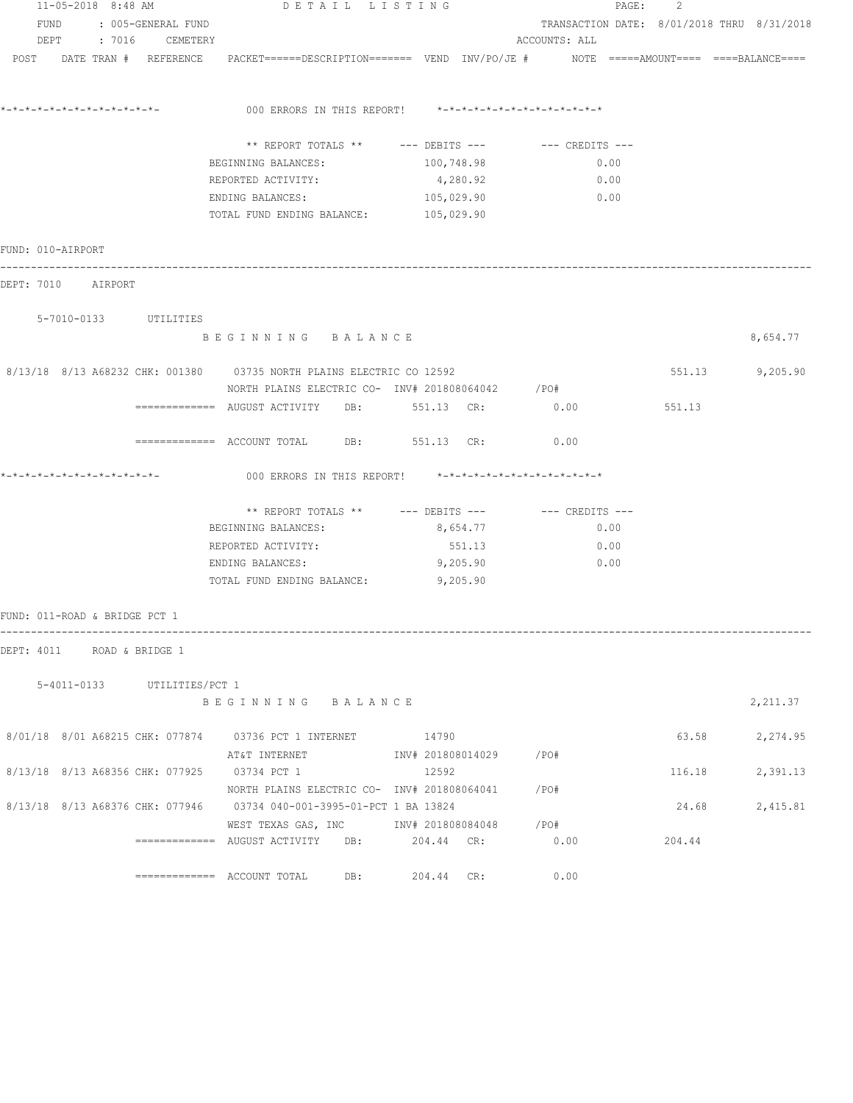| 11-05-2018 8:48 AM            |  |  |                             | DETAIL LISTING                                                                                                            |                                                      | PAGE: 2       |                                            |                                            |  |
|-------------------------------|--|--|-----------------------------|---------------------------------------------------------------------------------------------------------------------------|------------------------------------------------------|---------------|--------------------------------------------|--------------------------------------------|--|
| FUND : 005-GENERAL FUND       |  |  |                             |                                                                                                                           |                                                      |               | TRANSACTION DATE: 8/01/2018 THRU 8/31/2018 |                                            |  |
|                               |  |  | DEPT : 7016 CEMETERY        |                                                                                                                           |                                                      | ACCOUNTS: ALL |                                            |                                            |  |
|                               |  |  | POST DATE TRAN # REFERENCE  |                                                                                                                           |                                                      |               |                                            | $NOTE$ ===== $AMOUNT$ ==== ====BALANCE==== |  |
|                               |  |  |                             | 000 ERRORS IN THIS REPORT! *-*-*-*-*-*-*-*-*-*-*-*-*-*-                                                                   |                                                      |               |                                            |                                            |  |
|                               |  |  |                             |                                                                                                                           | ** REPORT TOTALS ** --- DEBITS --- -- CREDITS ---    |               |                                            |                                            |  |
|                               |  |  |                             | BEGINNING BALANCES:                                                                                                       | 100,748.98                                           | 0.00          |                                            |                                            |  |
|                               |  |  |                             | REPORTED ACTIVITY:                                                                                                        | 4,280.92                                             | 0.00          |                                            |                                            |  |
|                               |  |  |                             | ENDING BALANCES:                                                                                                          | 105,029.90                                           | 0.00          |                                            |                                            |  |
|                               |  |  |                             | TOTAL FUND ENDING BALANCE: 105,029.90                                                                                     |                                                      |               |                                            |                                            |  |
| FUND: 010-AIRPORT             |  |  |                             |                                                                                                                           |                                                      |               |                                            |                                            |  |
| DEPT: 7010 AIRPORT            |  |  |                             |                                                                                                                           |                                                      |               |                                            |                                            |  |
|                               |  |  | 5-7010-0133 UTILITIES       |                                                                                                                           |                                                      |               |                                            |                                            |  |
|                               |  |  |                             | BEGINNING BALANCE                                                                                                         |                                                      |               |                                            | 8,654.77                                   |  |
|                               |  |  |                             | 8/13/18 8/13 A68232 CHK: 001380 03735 NORTH PLAINS ELECTRIC CO 12592<br>NORTH PLAINS ELECTRIC CO- INV# 201808064042 / PO# |                                                      |               |                                            | 551.13 9,205.90                            |  |
|                               |  |  |                             | ============= AUGUST ACTIVITY DB: 551.13 CR:                                                                              |                                                      | 0.00          | 551.13                                     |                                            |  |
|                               |  |  |                             | ------------- ACCOUNT TOTAL DB: 551.13 CR:                                                                                |                                                      | 0.00          |                                            |                                            |  |
|                               |  |  |                             | 000 ERRORS IN THIS REPORT! *-*-*-*-*-*-*-*-*-*-*-*-*-*-                                                                   |                                                      |               |                                            |                                            |  |
|                               |  |  |                             |                                                                                                                           | ** REPORT TOTALS ** --- DEBITS --- -- -- CREDITS --- |               |                                            |                                            |  |
|                               |  |  |                             | BEGINNING BALANCES:                                                                                                       | 8,654.77                                             | 0.00          |                                            |                                            |  |
|                               |  |  |                             | REPORTED ACTIVITY:                                                                                                        | 551.13                                               | 0.00          |                                            |                                            |  |
|                               |  |  |                             | ENDING BALANCES:                                                                                                          | 9,205.90                                             | 0.00          |                                            |                                            |  |
|                               |  |  |                             | TOTAL FUND ENDING BALANCE:                                                                                                | 9,205.90                                             |               |                                            |                                            |  |
| FUND: 011-ROAD & BRIDGE PCT 1 |  |  |                             |                                                                                                                           |                                                      |               |                                            |                                            |  |
| DEPT: 4011 ROAD & BRIDGE 1    |  |  |                             |                                                                                                                           |                                                      |               |                                            |                                            |  |
|                               |  |  | 5-4011-0133 UTILITIES/PCT 1 |                                                                                                                           |                                                      |               |                                            |                                            |  |
|                               |  |  |                             | BEGINNING BALANCE                                                                                                         |                                                      |               |                                            | 2,211.37                                   |  |
|                               |  |  |                             | 8/01/18 8/01 A68215 CHK: 077874 03736 PCT 1 INTERNET 14790                                                                |                                                      |               |                                            | 63.58 2,274.95                             |  |
|                               |  |  |                             |                                                                                                                           |                                                      |               |                                            |                                            |  |
|                               |  |  |                             | 8/13/18 8/13 A68356 CHK: 077925 03734 PCT 1                                                                               | 12592                                                |               | 116.18                                     | 2,391.13                                   |  |
|                               |  |  |                             | NORTH PLAINS ELECTRIC CO- INV# 201808064041 / PO#<br>8/13/18 8/13 A68376 CHK: 077946 03734 040-001-3995-01-PCT 1 BA 13824 |                                                      |               | 24.68                                      | 2,415.81                                   |  |
|                               |  |  |                             | WEST TEXAS GAS, INC        INV# 201808084048      /PO#                                                                    |                                                      |               |                                            |                                            |  |
|                               |  |  |                             | $\overline{\phantom{X}}$ ============ AUGUST ACTIVITY DB: 204.44 CR:                                                      |                                                      | 0.00          | 204.44                                     |                                            |  |
|                               |  |  |                             | $\overline{\phantom{1}}$ ============= ACCOUNT TOTAL DB: 204.44 CR:                                                       |                                                      | 0.00          |                                            |                                            |  |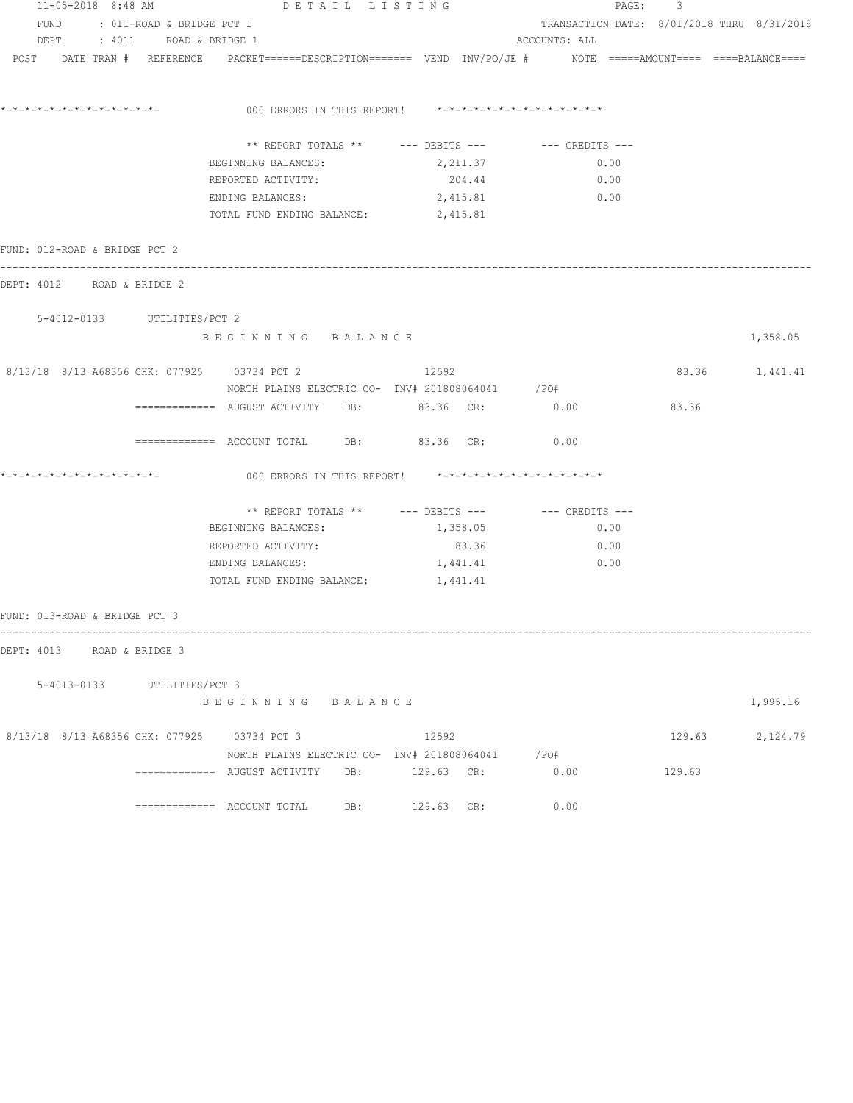| $11 - 05 - 2018$ 8:48 AM      |                                | DETAIL LISTING                              |                                                                                                                 |                                            | PAGE:<br>3 |                 |
|-------------------------------|--------------------------------|---------------------------------------------|-----------------------------------------------------------------------------------------------------------------|--------------------------------------------|------------|-----------------|
|                               | FUND : 011-ROAD & BRIDGE PCT 1 |                                             |                                                                                                                 | TRANSACTION DATE: 8/01/2018 THRU 8/31/2018 |            |                 |
|                               | DEPT : 4011 ROAD & BRIDGE 1    |                                             |                                                                                                                 | ACCOUNTS: ALL                              |            |                 |
|                               |                                |                                             | POST DATE TRAN # REFERENCE PACKET======DESCRIPTION======= VEND INV/PO/JE # NOTE =====AMOUNT==== ====BALANCE==== |                                            |            |                 |
|                               |                                |                                             |                                                                                                                 |                                            |            |                 |
| *-*-*-*-*-*-*-*-*-*-*-*-*-*-  |                                |                                             | 000 ERRORS IN THIS REPORT! *-*-*-*-*-*-*-*-*-*-*-*-*-*-                                                         |                                            |            |                 |
|                               |                                |                                             |                                                                                                                 |                                            |            |                 |
|                               |                                | BEGINNING BALANCES:                         | 2,211.37                                                                                                        | 0.00                                       |            |                 |
|                               |                                | REPORTED ACTIVITY:                          | 204.44                                                                                                          | 0.00                                       |            |                 |
|                               |                                | ENDING BALANCES:                            | 2,415.81                                                                                                        | 0.00                                       |            |                 |
|                               |                                | TOTAL FUND ENDING BALANCE: 2,415.81         |                                                                                                                 |                                            |            |                 |
|                               |                                |                                             |                                                                                                                 |                                            |            |                 |
| FUND: 012-ROAD & BRIDGE PCT 2 |                                |                                             |                                                                                                                 |                                            |            |                 |
| DEPT: 4012 ROAD & BRIDGE 2    |                                |                                             |                                                                                                                 |                                            |            |                 |
|                               | 5-4012-0133 UTILITIES/PCT 2    |                                             |                                                                                                                 |                                            |            |                 |
|                               |                                | BEGINNING BALANCE                           |                                                                                                                 |                                            |            | 1,358.05        |
|                               |                                |                                             |                                                                                                                 |                                            |            |                 |
|                               |                                | 8/13/18 8/13 A68356 CHK: 077925 03734 PCT 2 | 12592<br>NORTH PLAINS ELECTRIC CO- INV# 201808064041 / PO#                                                      |                                            |            | 83.36 1,441.41  |
|                               |                                |                                             |                                                                                                                 |                                            | 83.36      |                 |
|                               |                                |                                             | ============ AUGUST ACTIVITY DB: 83.36 CR: 0.00                                                                 |                                            |            |                 |
|                               |                                |                                             | ============ ACCOUNT TOTAL DB: 83.36 CR: 0.00                                                                   |                                            |            |                 |
| *-*-*-*-*-*-*-*-*-*-*-*-*-    |                                |                                             | 000 ERRORS IN THIS REPORT! *-*-*-*-*-*-*-*-*-*-*-*-*-*-                                                         |                                            |            |                 |
|                               |                                |                                             | ** REPORT TOTALS ** --- DEBITS --- -- -- CREDITS ---                                                            |                                            |            |                 |
|                               |                                | BEGINNING BALANCES:                         | 1,358.05                                                                                                        | 0.00                                       |            |                 |
|                               |                                | REPORTED ACTIVITY:                          | 83.36                                                                                                           | 0.00                                       |            |                 |
|                               |                                | ENDING BALANCES:                            | 1,441.41                                                                                                        | 0.00                                       |            |                 |
|                               |                                | TOTAL FUND ENDING BALANCE: 1,441.41         |                                                                                                                 |                                            |            |                 |
| FUND: 013-ROAD & BRIDGE PCT 3 |                                |                                             |                                                                                                                 |                                            |            |                 |
|                               |                                |                                             |                                                                                                                 |                                            |            |                 |
| DEPT: 4013 ROAD & BRIDGE 3    |                                |                                             |                                                                                                                 |                                            |            |                 |
|                               | 5-4013-0133 UTILITIES/PCT 3    |                                             |                                                                                                                 |                                            |            |                 |
|                               |                                | BEGINNING BALANCE                           |                                                                                                                 |                                            |            | 1,995.16        |
|                               |                                | 8/13/18 8/13 A68356 CHK: 077925 03734 PCT 3 | 12592                                                                                                           |                                            |            | 129.63 2,124.79 |
|                               |                                |                                             | NORTH PLAINS ELECTRIC CO- INV# 201808064041 / PO#                                                               |                                            |            |                 |
|                               |                                |                                             |                                                                                                                 | 0.00                                       | 129.63     |                 |
|                               |                                | ============= ACCOUNT TOTAL DB:             | 129.63 CR:                                                                                                      | 0.00                                       |            |                 |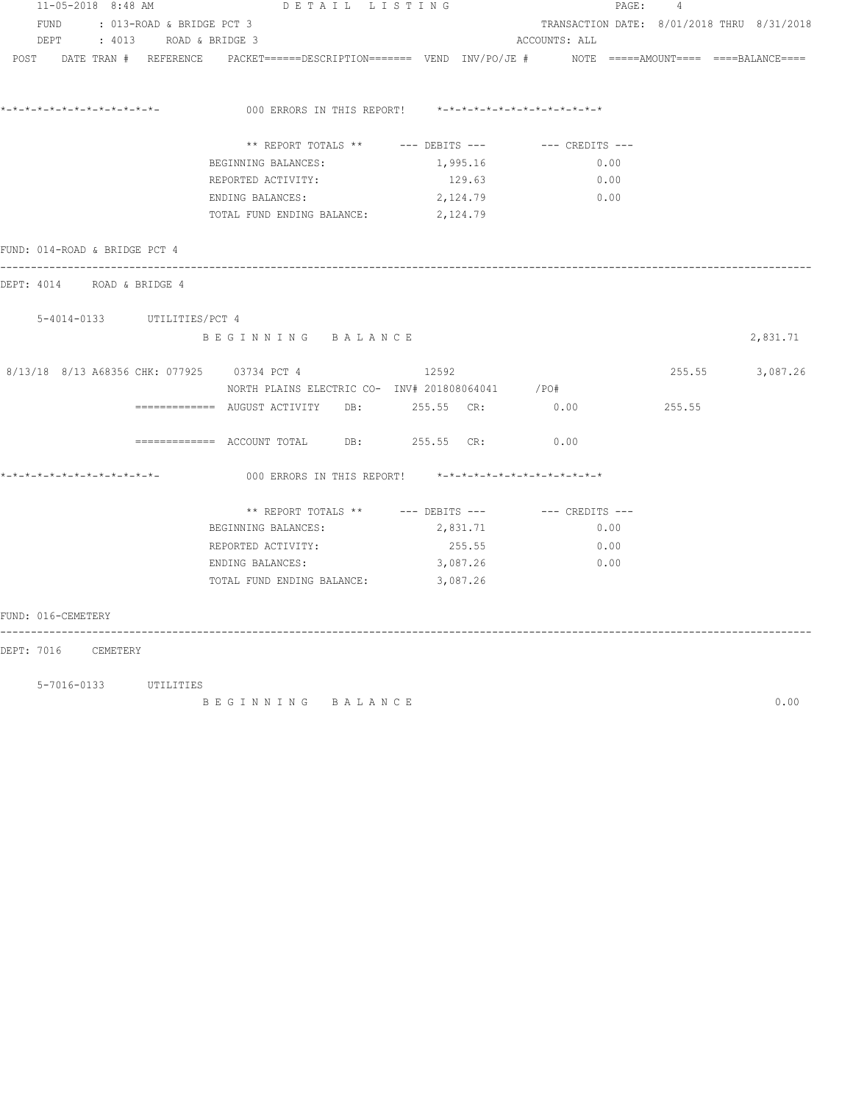| 11-05-2018 8:48 AM                          |                           | DETAIL LISTING                                                                                                 |          | PAGE :                                     | $\overline{4}$ |          |
|---------------------------------------------|---------------------------|----------------------------------------------------------------------------------------------------------------|----------|--------------------------------------------|----------------|----------|
| FUND                                        | : 013-ROAD & BRIDGE PCT 3 |                                                                                                                |          | TRANSACTION DATE: 8/01/2018 THRU 8/31/2018 |                |          |
| DEPT                                        | : 4013 ROAD & BRIDGE 3    |                                                                                                                |          | ACCOUNTS: ALL                              |                |          |
|                                             |                           | POST DATE TRAN # REFERENCE PACKET=====DESCRIPTION======= VEND INV/PO/JE # NOTE =====AMOUNT==== ====BALANCE==== |          |                                            |                |          |
|                                             |                           | 000 ERRORS IN THIS REPORT! *-*-*-*-*-*-*-*-*-*-*-*-*-*-                                                        |          |                                            |                |          |
|                                             |                           | ** REPORT TOTALS ** --- DEBITS --- -- -- CREDITS ---                                                           |          |                                            |                |          |
|                                             |                           | BEGINNING BALANCES:                                                                                            | 1,995.16 | 0.00                                       |                |          |
|                                             |                           | REPORTED ACTIVITY:                                                                                             | 129.63   | 0.00                                       |                |          |
|                                             |                           | ENDING BALANCES:                                                                                               | 2,124.79 | 0.00                                       |                |          |
|                                             |                           | TOTAL FUND ENDING BALANCE: 2,124.79                                                                            |          |                                            |                |          |
| FUND: 014-ROAD & BRIDGE PCT 4               |                           |                                                                                                                |          |                                            |                |          |
| DEPT: 4014 ROAD & BRIDGE 4                  |                           |                                                                                                                |          |                                            |                |          |
| 5-4014-0133 UTILITIES/PCT 4                 |                           |                                                                                                                |          |                                            |                |          |
|                                             |                           | BEGINNING BALANCE                                                                                              |          |                                            |                | 2,831.71 |
| 8/13/18 8/13 A68356 CHK: 077925 03734 PCT 4 |                           |                                                                                                                | 12592    |                                            | 255.55         | 3,087.26 |
|                                             |                           | NORTH PLAINS ELECTRIC CO- INV# 201808064041 / PO#                                                              |          |                                            |                |          |
|                                             |                           |                                                                                                                |          |                                            | 255.55         |          |
|                                             |                           | ============ ACCOUNT TOTAL DB: 255.55 CR: 0.00                                                                 |          |                                            |                |          |
|                                             |                           | 000 ERRORS IN THIS REPORT! *-*-*-*-*-*-*-*-*-*-*-*-*-*-                                                        |          |                                            |                |          |
|                                             |                           | ** REPORT TOTALS ** --- DEBITS --- -- CREDITS ---                                                              |          |                                            |                |          |
|                                             |                           | BEGINNING BALANCES:                                                                                            | 2,831.71 | 0.00                                       |                |          |
|                                             |                           | REPORTED ACTIVITY:                                                                                             | 255.55   | 0.00                                       |                |          |
|                                             |                           | ENDING BALANCES:                                                                                               | 3,087.26 | 0.00                                       |                |          |
|                                             |                           | TOTAL FUND ENDING BALANCE:                                                                                     | 3,087.26 |                                            |                |          |
| FUND: 016-CEMETERY                          |                           |                                                                                                                |          |                                            |                |          |
| DEPT: 7016 CEMETERY                         |                           |                                                                                                                |          |                                            |                |          |
|                                             | 5-7016-0133 UTILITIES     |                                                                                                                |          |                                            |                |          |
|                                             |                           | BEGINNING BALANCE                                                                                              |          |                                            |                | 0.00     |